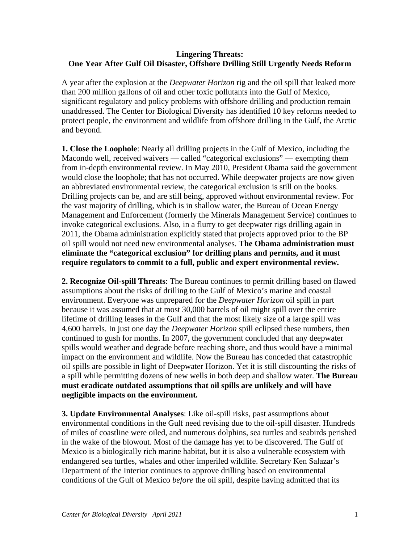## **Lingering Threats: One Year After Gulf Oil Disaster, Offshore Drilling Still Urgently Needs Reform**

A year after the explosion at the *Deepwater Horizon* rig and the oil spill that leaked more than 200 million gallons of oil and other toxic pollutants into the Gulf of Mexico, significant regulatory and policy problems with offshore drilling and production remain unaddressed. The Center for Biological Diversity has identified 10 key reforms needed to protect people, the environment and wildlife from offshore drilling in the Gulf, the Arctic and beyond.

**1. Close the Loophole**: Nearly all drilling projects in the Gulf of Mexico, including the Macondo well, received waivers — called "categorical exclusions" — exempting them from in-depth environmental review. In May 2010, President Obama said the government would close the loophole; that has not occurred. While deepwater projects are now given an abbreviated environmental review, the categorical exclusion is still on the books. Drilling projects can be, and are still being, approved without environmental review. For the vast majority of drilling, which is in shallow water, the Bureau of Ocean Energy Management and Enforcement (formerly the Minerals Management Service) continues to invoke categorical exclusions. Also, in a flurry to get deepwater rigs drilling again in 2011, the Obama administration explicitly stated that projects approved prior to the BP oil spill would not need new environmental analyses. **The Obama administration must eliminate the "categorical exclusion" for drilling plans and permits, and it must require regulators to commit to a full, public and expert environmental review.** 

**2. Recognize Oil-spill Threats**: The Bureau continues to permit drilling based on flawed assumptions about the risks of drilling to the Gulf of Mexico's marine and coastal environment. Everyone was unprepared for the *Deepwater Horizon* oil spill in part because it was assumed that at most 30,000 barrels of oil might spill over the entire lifetime of drilling leases in the Gulf and that the most likely size of a large spill was 4,600 barrels. In just one day the *Deepwater Horizon* spill eclipsed these numbers, then continued to gush for months. In 2007, the government concluded that any deepwater spills would weather and degrade before reaching shore, and thus would have a minimal impact on the environment and wildlife. Now the Bureau has conceded that catastrophic oil spills are possible in light of Deepwater Horizon. Yet it is still discounting the risks of a spill while permitting dozens of new wells in both deep and shallow water. **The Bureau must eradicate outdated assumptions that oil spills are unlikely and will have negligible impacts on the environment.** 

**3. Update Environmental Analyses**: Like oil-spill risks, past assumptions about environmental conditions in the Gulf need revising due to the oil-spill disaster. Hundreds of miles of coastline were oiled, and numerous dolphins, sea turtles and seabirds perished in the wake of the blowout. Most of the damage has yet to be discovered. The Gulf of Mexico is a biologically rich marine habitat, but it is also a vulnerable ecosystem with endangered sea turtles, whales and other imperiled wildlife. Secretary Ken Salazar's Department of the Interior continues to approve drilling based on environmental conditions of the Gulf of Mexico *before* the oil spill, despite having admitted that its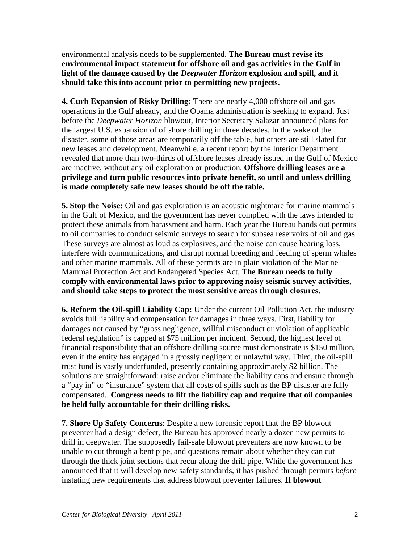environmental analysis needs to be supplemented. **The Bureau must revise its environmental impact statement for offshore oil and gas activities in the Gulf in light of the damage caused by the** *Deepwater Horizon* **explosion and spill, and it should take this into account prior to permitting new projects.** 

**4. Curb Expansion of Risky Drilling:** There are nearly 4,000 offshore oil and gas operations in the Gulf already, and the Obama administration is seeking to expand. Just before the *Deepwater Horizon* blowout, Interior Secretary Salazar announced plans for the largest U.S. expansion of offshore drilling in three decades. In the wake of the disaster, some of those areas are temporarily off the table, but others are still slated for new leases and development. Meanwhile, a recent report by the Interior Department revealed that more than two-thirds of offshore leases already issued in the Gulf of Mexico are inactive, without any oil exploration or production. **Offshore drilling leases are a privilege and turn public resources into private benefit, so until and unless drilling is made completely safe new leases should be off the table.** 

**5. Stop the Noise:** Oil and gas exploration is an acoustic nightmare for marine mammals in the Gulf of Mexico, and the government has never complied with the laws intended to protect these animals from harassment and harm. Each year the Bureau hands out permits to oil companies to conduct seismic surveys to search for subsea reservoirs of oil and gas. These surveys are almost as loud as explosives, and the noise can cause hearing loss, interfere with communications, and disrupt normal breeding and feeding of sperm whales and other marine mammals. All of these permits are in plain violation of the Marine Mammal Protection Act and Endangered Species Act. **The Bureau needs to fully comply with environmental laws prior to approving noisy seismic survey activities, and should take steps to protect the most sensitive areas through closures.**

**6. Reform the Oil-spill Liability Cap:** Under the current Oil Pollution Act, the industry avoids full liability and compensation for damages in three ways. First, liability for damages not caused by "gross negligence, willful misconduct or violation of applicable federal regulation" is capped at \$75 million per incident. Second, the highest level of financial responsibility that an offshore drilling source must demonstrate is \$150 million, even if the entity has engaged in a grossly negligent or unlawful way. Third, the oil-spill trust fund is vastly underfunded, presently containing approximately \$2 billion. The solutions are straightforward: raise and/or eliminate the liability caps and ensure through a "pay in" or "insurance" system that all costs of spills such as the BP disaster are fully compensated.. **Congress needs to lift the liability cap and require that oil companies be held fully accountable for their drilling risks.** 

**7. Shore Up Safety Concerns**: Despite a new forensic report that the BP blowout preventer had a design defect, the Bureau has approved nearly a dozen new permits to drill in deepwater. The supposedly fail-safe blowout preventers are now known to be unable to cut through a bent pipe, and questions remain about whether they can cut through the thick joint sections that recur along the drill pipe. While the government has announced that it will develop new safety standards, it has pushed through permits *before* instating new requirements that address blowout preventer failures. **If blowout**